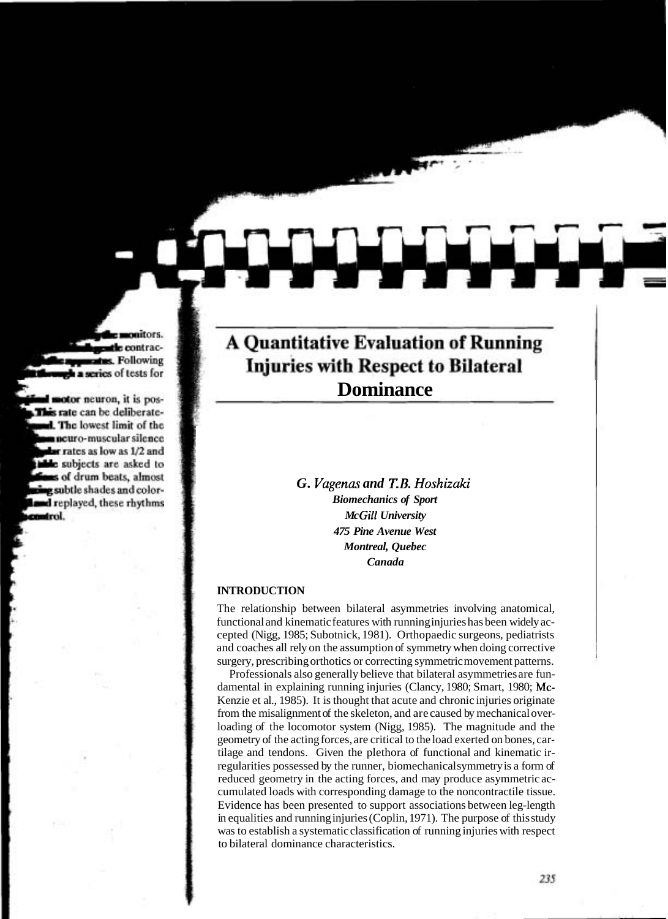# **A Quantitative Evaluation of Running** Injuries with Respect to Bilateral **Dominance**

*G. Vagenas and T.B. Hoshizaki Biomechanics of Sport Mc Gill University 475 Pine Avenue West Montreal, Quebec Canada* 

#### **INTRODUCTION**

The relationship between bilateral asymmetries involving anatomical, functional and kinematic features with running injuries has been widely accepted (Nigg, 1985; Subotnick, 1981). Orthopaedic surgeons, pediatrists and coaches all rely on the assumption of symmetry when doing corrective surgery, prescribing orthotics or correcting symmetric movement patterns.

Professionals also generally believe that bilateral asymmetries are fundamental in explaining running injuries (Clancy, 1980; Smart, 1980; Mc-Kenzie et al., 1985). It is thought that acute and chronic injuries originate from the misalignment of the skeleton, and are caused by mechanical overloading of the locomotor system (Nigg, 1985). The magnitude and the geometry of the acting forces, are critical to the load exerted on bones, cartilage and tendons. Given the plethora of functional and kinematic irregularities possessed by the runner, biomechanical symmetry is a form of reduced geometry in the acting forces, and may produce asymmetric accumulated loads with corresponding damage to the noncontractile tissue. Evidence has been presented to support associations between leg-length in equalities and running injuries (Coplin, 1971). The purpose of this study was to establish a systematic classification of running injuries with respect to bilateral dominance characteristics.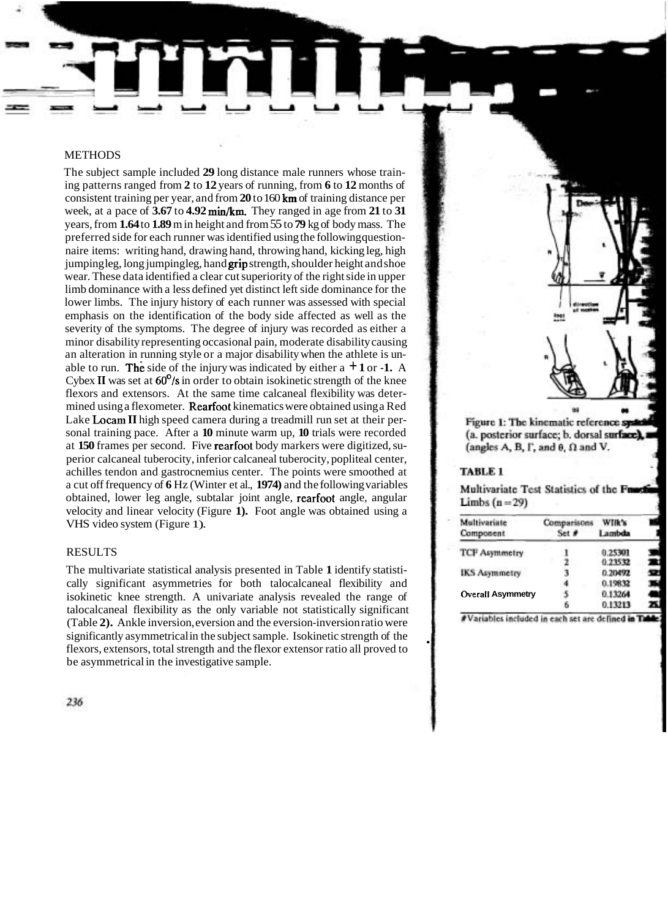## **METHODS**

The subject sample included **29** long distance male runners whose training patterns ranged from **2** to **12** years of running, from **6** to **12** months of consistent training per year, and from **20** to 160 **km** of training distance per week, at a pace of **3.67** to **4.92** min/km. They ranged in age from **21** to **31**  years, from **1.64** to **1.89** m in height and from 55 to **79** kg of body mass. The preferred side for each runner was identified using the following questionnaire items: writing hand, drawing hand, throwing hand, kicking leg, high jumping leg, long jumping leg, hand **grip** strength, shoulder height and shoe wear. These data identified a clear cut superiority of the right side in upper limb dominance with a less defined yet distinct left side dominance for the lower limbs. The injury history of each runner was assessed with special emphasis on the identification of the body side affected as well as the severity of the symptoms. The degree of injury was recorded as either a minor disability representing occasional pain, moderate disability causing an alteration in running style or a major disability when the athlete is unable to run. The side of the injury was indicated by either a  $+1$  or **-1.** A Cybex II was set at  $60^{\circ}/s$  in order to obtain isokinetic strength of the knee flexors and extensors. At the same time calcaneal flexibility was determined using a flexometer. Rearfoot kinematics were obtained using a Red Lake **Locam II** high speed camera during a treadmill run set at their personal training pace. After a **10** minute warm up, **10** trials were recorded at **150** frames per second. Five rearfoot body markers were digitized, superior calcaneal tuberocity, inferior calcaneal tuberocity, popliteal center, achilles tendon and gastrocnemius center. The points were smoothed at a cut off frequency of **6** Hz (Winter et al., **1974)** and the following variables obtained, lower leg angle, subtalar joint angle, rearfoot angle, angular velocity and linear velocity (Figure **1).** Foot angle was obtained using a VHS video system (Figure 1).

#### RESULTS

The multivariate statistical analysis presented in Table **1** identify statistically significant asymmetries for both talocalcaneal flexibility and isokinetic knee strength. A univariate analysis revealed the range of talocalcaneal flexibility as the only variable not statistically significant (Table **2).** Ankle inversion, eversion and the eversion-inversion ratio were significantly asymmetrical in the subject sample. Isokinetic strength of the flexors, extensors, total strength and the flexor extensor ratio all proved to be asymmetrical in the investigative sample.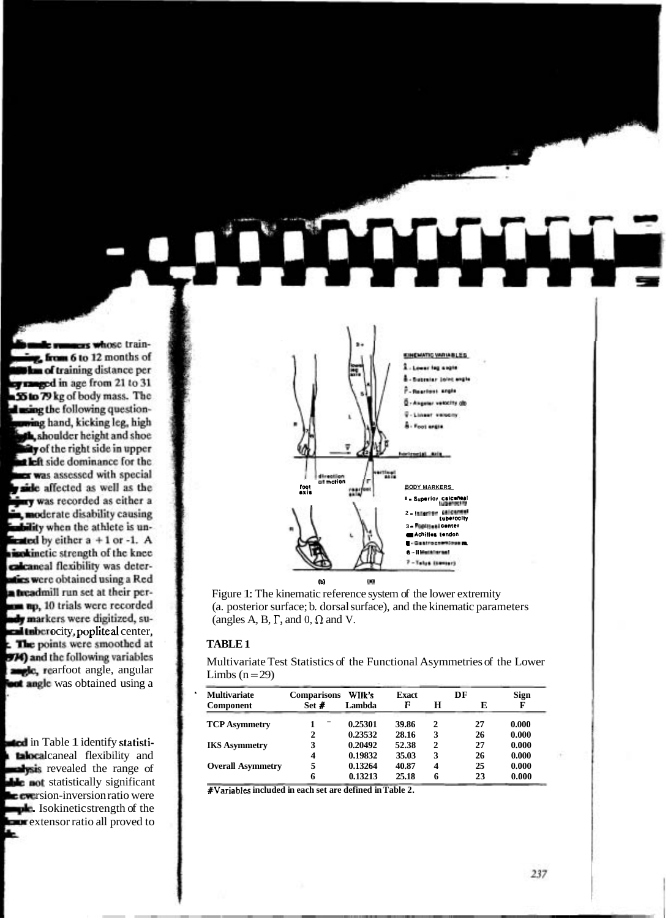

Figure 1: The kinematic reference system of the lower extremity (a. posterior surface; b. dorsal surface), and the kinematic parameters (angles A, B,  $\Gamma$ , and 0,  $\Omega$  and V.

Multivariate Test Statistics of the Functional Asymmetries of the Lower Limbs  $(n=29)$ 

| <b>Multivariate</b>      | <b>Comparisons</b> | WIIk's  | <b>Exact</b> |   | DF | <b>Sign</b> |
|--------------------------|--------------------|---------|--------------|---|----|-------------|
| <b>Component</b>         | Set $\#$           | Lambda  | F            | н | E  |             |
| <b>TCP Asymmetry</b>     |                    | 0.25301 | 39.86        | 2 | 27 | 0.000       |
|                          | 2                  | 0.23532 | 28.16        | 3 | 26 | 0.000       |
| <b>IKS Asymmetry</b>     |                    | 0.20492 | 52.38        | 2 | 27 | 0.000       |
|                          | 4                  | 0.19832 | 35.03        | 3 | 26 | 0.000       |
| <b>Overall Asymmetry</b> |                    | 0.13264 | 40.87        | 4 | 25 | 0.000       |
|                          | 6                  | 0.13213 | 25.18        | 6 | 23 | 0.000       |

#Variables included in each set are defined in Table 2.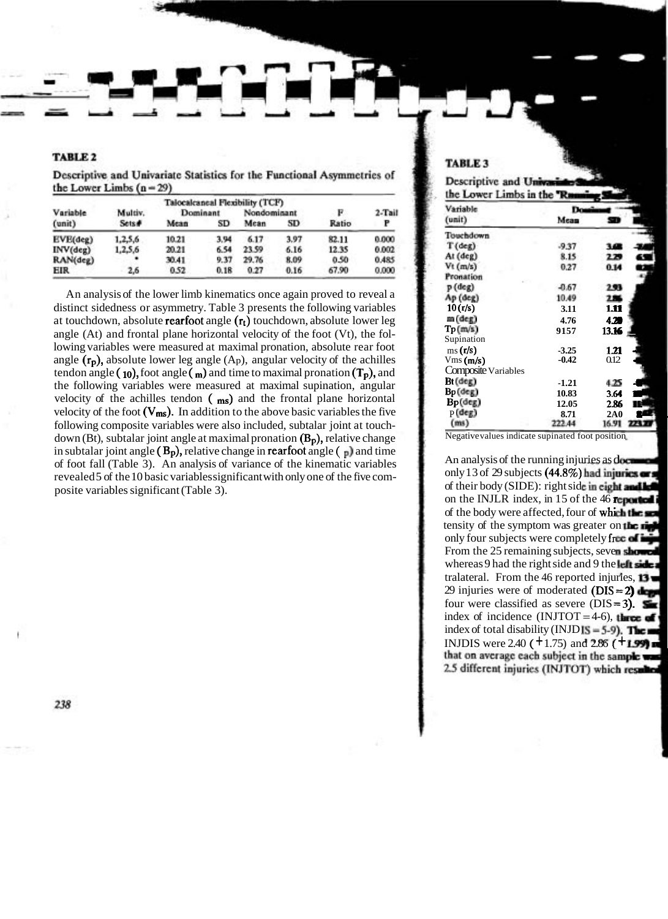| Variable          | Multiv. | F                      | 2-Tail |                           |      |       |       |
|-------------------|---------|------------------------|--------|---------------------------|------|-------|-------|
| $(\text{unit})$   | Sets#   | Dominant<br>Mean<br>SD |        | Nondominant<br>Mean<br>SD |      | Ratio | P     |
| EVE(deg)          | 1,2,5,6 | 10.21                  | 3.94   | 6.17                      | 3.97 | 82.11 | 0.000 |
| $INV(\text{deg})$ | 1,2,5,6 | 20.21                  | 6.54   | 23.59                     | 6.16 | 12.35 | 0.002 |
| RAN(deg)          |         | 30.41                  | 9.37   | 29.76                     | 8.09 | 0.50  | 0.485 |
| <b>EIR</b>        | 2.6     | 0.52                   | 0.18   | 0.27                      | 0.16 | 67.90 | 0.000 |

Descriptive and Univariate Statistics for the Functional Asymmetries of the Lower Limbs  $(n-29)$ 

An analysis of the lower limb kinematics once again proved to reveal a distinct sidedness or asymmetry. Table 3 presents the following variables at touchdown, absolute **rearfoot** angle  $(r_t)$  touchdown, absolute lower leg angle (At) and frontal plane horizontal velocity of the foot (Vt), the following variables were measured at maximal pronation, absolute rear foot angle  $(r_p)$ , absolute lower leg angle  $(A_p)$ , angular velocity of the achilles tendon angle ( $\mathbf{10}$ ), foot angle ( $\mathbf{m}$ ) and time to maximal pronation ( $\mathbf{T_p}$ ), and the following variables were measured at maximal supination, angular velocity of the achilles tendon  $(m_s)$  and the frontal plane horizontal velocity of the foot  $(V_{ms})$ . In addition to the above basic variables the five following composite variables were also included, subtalar joint at touchdown (Bt), subtalar joint angle at maximal pronation  $(B_p)$ , relative change in subtalar joint angle  $(B_p)$ , relative change in **rearfoot** angle  $(\Box)$  and time of foot fall (Table 3). An analysis of variance of the kinematic variables revealed 5 of the 10 basic variables significant with only one of the five composite variables significant (Table 3).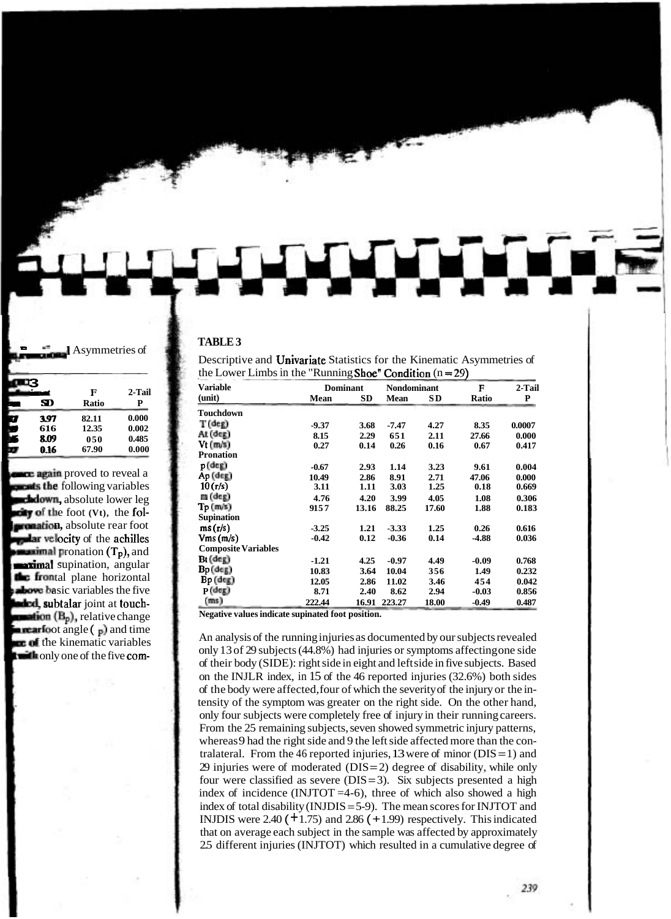| the Lower Linnos in the Kunning shoe Condition $(n-2)$ |                 |       |             |       |         |        |  |  |
|--------------------------------------------------------|-----------------|-------|-------------|-------|---------|--------|--|--|
| <b>Variable</b>                                        | <b>Dominant</b> |       | Nondominant |       | F       | 2-Tail |  |  |
| (unit)                                                 | Mean            | SD    | <b>Mean</b> | SD.   | Ratio   | P      |  |  |
| Touchdown                                              |                 |       |             |       |         |        |  |  |
| $T$ (deg)                                              | $-9.37$         | 3.68  | -7.47       | 4.27  | 8.35    | 0.0007 |  |  |
| $At$ $(de)$                                            | 8.15            | 2.29  | 651         | 2.11  | 27.66   | 0.000  |  |  |
| $Vt$ ( $m/s$ )                                         | 0.27            | 0.14  | 0.26        | 0.16  | 0.67    | 0.417  |  |  |
| <b>Pronation</b>                                       |                 |       |             |       |         |        |  |  |
| $p$ (deg)                                              | $-0.67$         | 2.93  | 1.14        | 3.23  | 9.61    | 0.004  |  |  |
| Ap (deg)                                               | 10.49           | 2.86  | 8.91        | 2.71  | 47.06   | 0.000  |  |  |
| 10(r/s)                                                | 3.11            | 1.11  | 3.03        | 1.25  | 0.18    | 0.669  |  |  |
| $m$ (deg)                                              | 4.76            | 4.20  | 3.99        | 4.05  | 1.08    | 0.306  |  |  |
| $\text{Tr}(\text{m/s})$                                | 9157            | 13.16 | 88.25       | 17.60 | 1.88    | 0.183  |  |  |
| <b>Supination</b>                                      |                 |       |             |       |         |        |  |  |
| ms(r/s)                                                | $-3.25$         | 1.21  | $-3.33$     | 1.25  | 0.26    | 0.616  |  |  |
| Vms(m/s)                                               | $-0.42$         | 0.12  | $-0.36$     | 0.14  | -4.88   | 0.036  |  |  |
| <b>Composite Variables</b>                             |                 |       |             |       |         |        |  |  |
| Bt (deg)                                               | $-1.21$         | 4.25  | $-0.97$     | 4.49  | $-0.09$ | 0.768  |  |  |
| Bp (deg)                                               | 10.83           | 3.64  | 10.04       | 356   | 1.49    | 0.232  |  |  |
| $Bp$ (deg)                                             | 12.05           | 2.86  | 11.02       | 3.46  | 454     | 0.042  |  |  |
| $P$ (deg)                                              | 8.71            | 2.40  | 8.62        | 2.94  | $-0.03$ | 0.856  |  |  |
| (ms)                                                   | 222.44          | 16.91 | 223.27      | 18.00 | $-0.49$ | 0.487  |  |  |

Descriptive and Univariate Statistics for the Kinematic Asymmetries of the Lower Limbs in the "Dunning  $\mathsf{Chos}^{\sharp}$  Condition (n  $-$ 

**Negative values indicate supinated foot position.** 

An analysis of the running injuries as documented by our subjects revealed only 13 of 29 subjects (44.8%) had injuries or symptoms affecting one side of their body (SIDE): right side in eight and left side in five subjects. Based on the INJLR index, in 15 of the 46 reported injuries (32.6%) both sides of the body were affected, four of which the severity of the injury or the intensity of the symptom was greater on the right side. On the other hand, only four subjects were completely free of injury in their running careers. From the 25 remaining subjects, seven showed symmetric injury patterns, whereas 9 had the right side and 9 the left side affected more than the contralateral. From the 46 reported injuries, 13 were of minor ( $DIS = 1$ ) and 29 injuries were of moderated  $(DIS = 2)$  degree of disability, while only four were classified as severe  $(DIS = 3)$ . Six subjects presented a high index of incidence (INJTOT  $=4-6$ ), three of which also showed a high index of total disability (INJDIS = 5-9). The mean scores for INJTOT and INJDIS were 2.40  $(+1.75)$  and 2.86  $(+1.99)$  respectively. This indicated that on average each subject in the sample was affected by approximately 2.5 different injuries (INJTOT) which resulted in a cumulative degree of

239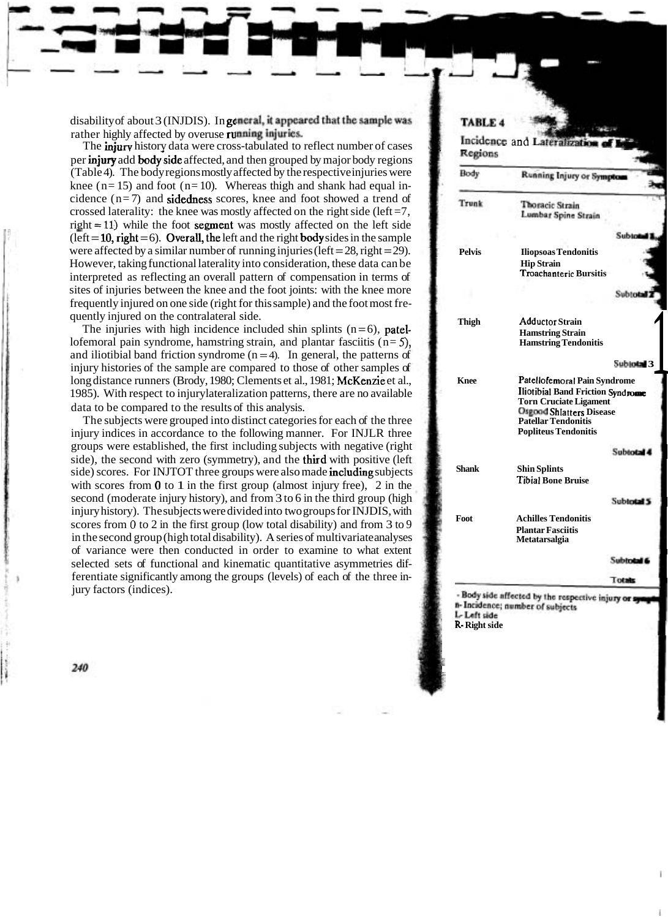disability of about 3 (INJDIS). In general, it appeared that the sample was rather highly affected by overuse running injuries.

The **injury** history data were cross-tabulated to reflect number of cases per **injury** add **body side** affected, and then grouped by major body regions (Table 4). The body regions mostly affected by the respective injuries were knee ( $n= 15$ ) and foot ( $n= 10$ ). Whereas thigh and shank had equal incidence  $(n=7)$  and **sidedness** scores, knee and foot showed a trend of crossed laterality: the knee was mostly affected on the right side (left  $=7$ ,  $right = 11$ ) while the foot segment was mostly affected on the left side  $(left = 10, right = 6)$ . Overall, the left and the right body sides in the sample were affected by a similar number of running injuries (left =  $28$ , right =  $29$ ). However, taking functional laterality into consideration, these data can be interpreted as reflecting an overall pattern of compensation in terms of sites of injuries between the knee and the foot joints: with the knee more frequently injured on one side (right for this sample) and the foot most frequently injured on the contralateral side.

The injuries with high incidence included shin splints  $(n=6)$ , patellofemoral pain syndrome, hamstring strain, and plantar fasciitis (n= *5),*  and iliotibial band friction syndrome  $(n = 4)$ . In general, the patterns of injury histories of the sample are compared to those of other samples of long distance runners (Brody, 1980; Clements et al., 1981; McKenzie et al., 1985). With respect to injurylateralization patterns, there are no available data to be compared to the results of this analysis.

The subjects were grouped into distinct categories for each of the three injury indices in accordance to the following manner. For INJLR three groups were established, the first including subjects with negative (right side), the second with zero (symmetry), and the third with positive (left side) scores. For INJTOT three groups were also made including subjects with scores from  $\theta$  to 1 in the first group (almost injury free), 2 in the second (moderate injury history), and from 3 to 6 in the third group (high injury history). The subjects were divided into two groups for INJDIS, with scores from **0** to 2 in the first group (low total disability) and from 3 to 9 in the second group (high total disability). A series of multivariate analyses of variance were then conducted in order to examine to what extent selected sets of functional and kinematic quantitative asymmetries differentiate significantly among the groups (levels) of each of the three injury factors (indices).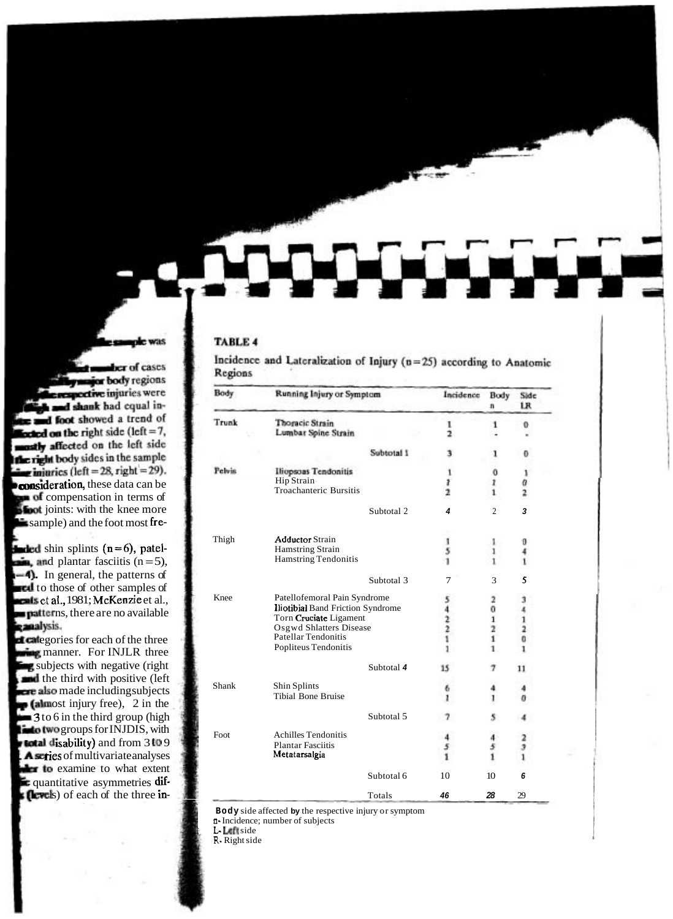| Body          | Running Injury or Symptom                |            | Incidence                   | Body<br>n                                  | Side<br>LR    |
|---------------|------------------------------------------|------------|-----------------------------|--------------------------------------------|---------------|
| Trunk         | Thoracic Strain                          |            | ı                           | 1                                          | O.            |
|               | Lumbar Spine Strain                      |            | $\overline{\mathbf{z}}$     |                                            |               |
|               |                                          | Subtotal 1 |                             | ı                                          |               |
| <b>Pelvis</b> | Iliopsoas Tendonitis                     |            | 1                           | ō                                          |               |
|               | Hip Strain                               |            | $\frac{1}{2}$               | ı                                          | a             |
|               | Troachanteric Bursitis                   |            |                             | 1                                          | 2             |
|               |                                          | Subtotal 2 | $\overline{4}$              | $\overline{c}$                             | 3             |
| Thigh         | <b>Adductor Strain</b>                   |            | 1                           | 1                                          | o             |
|               | <b>Hamstring Strain</b>                  |            | 5                           | 1                                          |               |
|               | Hamstring Tendonitis                     |            | 1                           |                                            |               |
|               |                                          | Subtotal 3 | 7                           | 3                                          | 5             |
| Knee          | Patellofemoral Pain Syndrome             |            | 2                           | з                                          |               |
|               | <b>Iliotibial Band Friction Syndrome</b> |            |                             | 0                                          |               |
|               | Torn Cruciate Ligament                   |            | $\frac{4}{2}$ $\frac{2}{1}$ |                                            |               |
|               | Osgwd Shlatters Disease                  |            |                             | $\begin{array}{c} 1 \\ 2 \\ 1 \end{array}$ | $\frac{1}{2}$ |
|               | Patellar Tendonitis                      |            |                             |                                            |               |
|               | Popliteus Tendonitis                     |            |                             | ı                                          |               |
|               |                                          | Subtotal 4 | 15                          | 7                                          | 11            |
| Shank         | Shin Splints                             |            | 6                           |                                            |               |
|               | <b>Tibial Bone Bruise</b>                |            | 1                           |                                            |               |
|               |                                          | Subtotal 5 | 7                           |                                            |               |
| Foot          | <b>Achilles Tendonitis</b>               |            |                             |                                            | 2             |
|               | <b>Plantar Fasciitis</b>                 |            |                             | $\frac{5}{1}$                              | 3             |
|               | Metatarsalgia                            |            |                             |                                            |               |
|               |                                          | Subtotal 6 | 10                          | 10                                         | 6             |
|               |                                          | Totals     | 46                          | 28                                         | 29            |

Incidence and Lateralization of Injury  $(n=25)$  according to Anatomic Regions

**Body** side affected **by** the respective injury or symptom

**n-** Incidence; number of subjects

; **L** Left side

**R-** Right side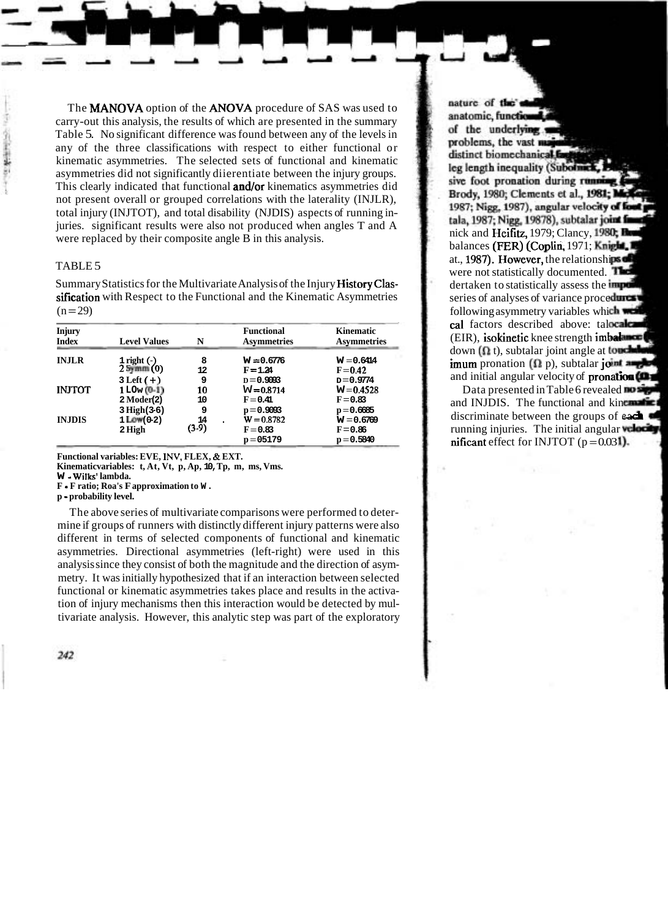The MANOVA option of the ANOVA procedure of SAS was used to carry-out this analysis, the results of which are presented in the summary Table 5. No significant difference was found between any of the levels in any of the three classifications with respect to either functional or kinematic asymmetries. The selected sets of functional and kinematic asymmetries did not significantly diierentiate between the injury groups. This clearly indicated that functional and/or kinematics asymmetries did not present overall or grouped correlations with the laterality (INJLR), total injury (INJTOT), and total disability (NJDIS) aspects of running injuries. significant results were also not produced when angles T and A were replaced by their composite angle  $\overline{B}$  in this analysis.

### TABLE 5

Summary Statistics for the Multivariate Analysis of the Injury HistoryClassification with Respect to the Functional and the Kinematic Asymmetries  $(n = 29)$ 

| <b>Injury</b><br><b>Index</b> | <b>Level Values</b>                                         | N                | <b>Functional</b><br><b>Asymmetries</b>    | Kinematic<br><b>Asymmetries</b>            |
|-------------------------------|-------------------------------------------------------------|------------------|--------------------------------------------|--------------------------------------------|
| <b>INJLR</b>                  | $\frac{1}{2}$ right (-)<br>2 $\frac{1}{2}$ mm (0)           | 8<br>12          | $W = 0.6776$<br>$F = 1.24$                 | $W = 0.6414$<br>$F = 0.42$                 |
| <b>INJTOT</b>                 | $3 \text{ Left } (+)$<br>$1$ LOw $(0-1)$<br>$2$ Moder $(2)$ | 9<br>10<br>10    | $D = 0.9093$<br>$W = 0.8714$<br>$F = 0.41$ | $p = 0.9774$<br>$W = 0.4528$<br>$F = 0.83$ |
| <b>INJDIS</b>                 | $3 High(3-6)$<br>$1$ Low $(0-2)$<br>2 High                  | 9<br>14<br>(3-9) | $p = 0.9093$<br>$W = 0.8782$<br>$F = 0.83$ | $p = 0.6685$<br>$W = 0.6769$<br>$F = 0.86$ |
|                               |                                                             |                  | $p = 05179$                                | $p = 0.5840$                               |

**Functional variables: EVE, INV, FLEX,** & **EXT.** 

**Kinematicvariables: t, At, Vt, p, Ap, 10, Tp, m, ms, Vms.** 

**W** - **Wilks' lambda.** 

**F** - **F ratio; Roa's F approximation to W.** 

**p** - **probability level.** 

The above series of multivariate comparisons were performed to determine if groups of runners with distinctly different injury patterns were also different in terms of selected components of functional and kinematic asymmetries. Directional asymmetries (left-right) were used in this analysis since they consist of both the magnitude and the direction of asymmetry. It was initially hypothesized that if an interaction between selected functional or kinematic asymmetries takes place and results in the activation of injury mechanisms then this interaction would be detected by multivariate analysis. However, this analytic step was part of the exploratory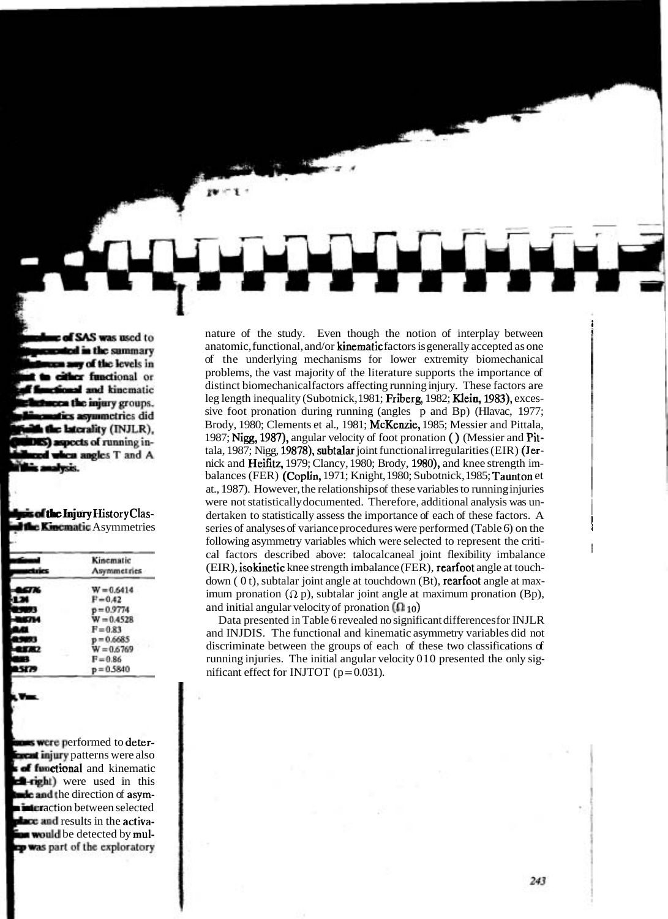nature of the study. Even though the notion of interplay between **<sup>i</sup>** anatomic, functional, and/or kinematic factors is generally accepted as one of the underlying mechanisms for lower extremity biomechanical problems, the vast majority of the literature supports the importance of distinct biomechanical factors affecting running injury. These factors are leg length inequality (Subotnick, 1981; Friberg, 1982; Klein, 1983), excessive foot pronation during running (angles p and Bp) (Hlavac, 1977; Brody, 1980; Clements et al., 1981; McKenzie, 1985; Messier and Pittala, 1987; Nigg, 1987), angular velocity of foot pronation ( ) (Messier and Pittala, 1987; Nigg, 19878), subtalar joint functional irregularities (EIR) (Jernick and Heifitz, 1979; Clancy, 1980; Brody, 1980), and knee strength imbalances (FER) (Coplin, 1971; Knight, 1980; Subotnick, 1985; Taunton et at., 1987). However, the relationships of these variables to running injuries were not statistically documented. Therefore, additional analysis was undertaken to statistically assess the importance of each of these factors. A series of analyses of variance procedures were performed (Table 6) on the following asymmetry variables which were selected to represent the critical factors described above: talocalcaneal joint flexibility imbalance (EIR), isokinetic knee strength imbalance (FER), rearfoot angle at touchdown  $(0 t)$ , subtalar joint angle at touchdown  $(Bt)$ , rearfoot angle at maximum pronation  $(\Omega p)$ , subtalar joint angle at maximum pronation  $(Bp)$ , and initial angular velocity of pronation  $(0, 10)$ 

Data presented in Table 6 revealed no significant differences for INJLR and INJDIS. The functional and kinematic asymmetry variables did not discriminate between the groups of each of these two classifications of running injuries. The initial angular velocity 010 presented the only significant effect for INJTOT  $(p=0.031)$ .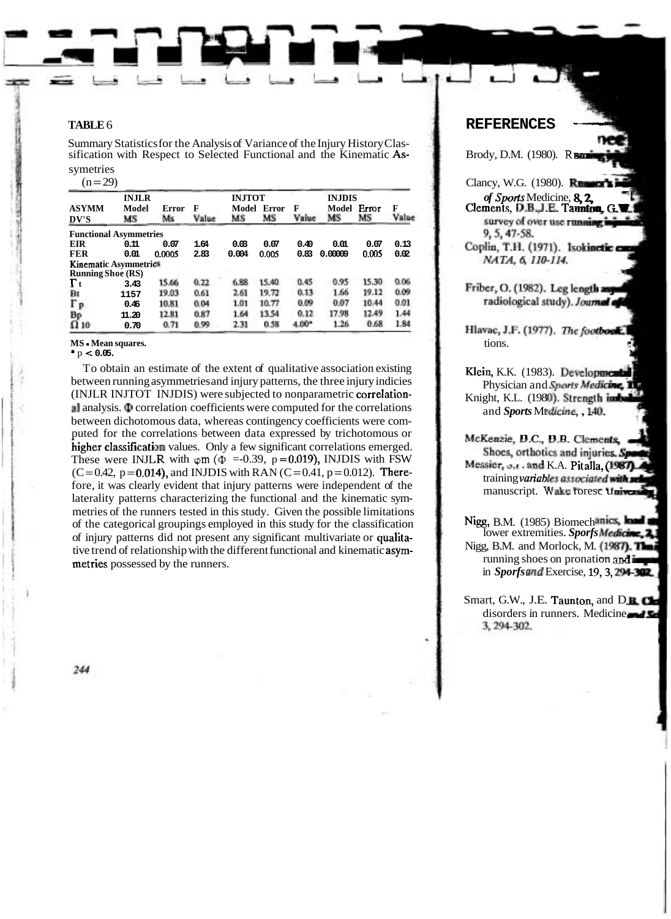#### **TARLE6**

Summary Statistics for the Analysis of Variance of the Injury History Classification with Respect to Selected Functional and the Kinematic As-

symetries

 $(n=29)$ 

| <b>INJLR</b>                  |             |             | <b>INJTOT</b> |             |                    |            |                              |             |            |
|-------------------------------|-------------|-------------|---------------|-------------|--------------------|------------|------------------------------|-------------|------------|
| <b>ASYMM</b><br>DV'S          | Model<br>МS | Error<br>Ms | F<br>Value    | Model<br>МS | <b>Error</b><br>MS | F<br>Value | <b>INJDIS</b><br>Model<br>MS | Error<br>MS | F<br>Value |
| <b>Functional Asymmetries</b> |             |             |               |             |                    |            |                              |             |            |
| EIR                           | 0.11        | 0.07        | 1.64          | 0.03        | 0.07               | 0.40       | 0.01                         | 0.07        | 0.13       |
| <b>FER</b>                    | 0.01        | 0.0005      | 2.83          | 0.004       | 0.005              | 0.83       | 0.00009                      | 0.005       | 0.02       |
| Kinematic Asymmetrics         |             |             |               |             |                    |            |                              |             |            |
| <b>Running Shoe (RS)</b>      |             |             |               |             |                    |            |                              |             |            |
| $\Gamma$ t                    | 3.43        | 15.66       | 0.22          | 6.88        | 15.40              | 0.45       | 0.95                         | 15.30       | 0.06       |
| Bt                            | 1157        | 19.03       | 0.61          | 2.61        | 19.72              | 0.13       | 1.66                         | 19.12       | 0.09       |
| $\Gamma_P$                    | 0.46        | 10.81       | 0.04          | 1.01        | 10.77              | 0.09       | 0.07                         | 10.44       | 0.01       |
| Bp                            | 11.20       | 12.81       | 0.87          | 1.64        | 13.54              | 0.12       | 17.98                        | 12.49       | 1.44       |
| $\Omega$ 10                   | 0.70        | 0.71        | 0.99          | 2.31        | 0.58               | $4.00*$    | 1.26                         | 0.68        | 1.84       |

MS - Mean squares.

 $*$  p < 0.05.

To obtain an estimate of the extent of qualitative association existing between running asymmetries and injury patterns, the three injury indicies (INJLR INJTOT INJDIS) were subjected to nonparametric correlation- $\Box$  analysis.  $\Phi$  correlation coefficients were computed for the correlations between dichotomous data, whereas contingency coefficients were computed for the correlations between data expressed by trichotomous or higher classification values. Only a few significant correlations emerged. These were INJLR with  $\varphi$ m ( $\Phi$  =-0.39, p=0.019), INJDIS with FSW  $(C=0.42, p=0.014)$ , and INJDIS with RAN  $(C=0.41, p=0.012)$ . Therefore, it was clearly evident that injury patterns were independent of the laterality patterns characterizing the functional and the kinematic symmetries of the runners tested in this study. Given the possible limitations of the categorical groupings employed in this study for the classification of injury patterns did not present any significant multivariate or qualitative trend of relationship with the different functional and kinematic asymmetries possessed by the runners.